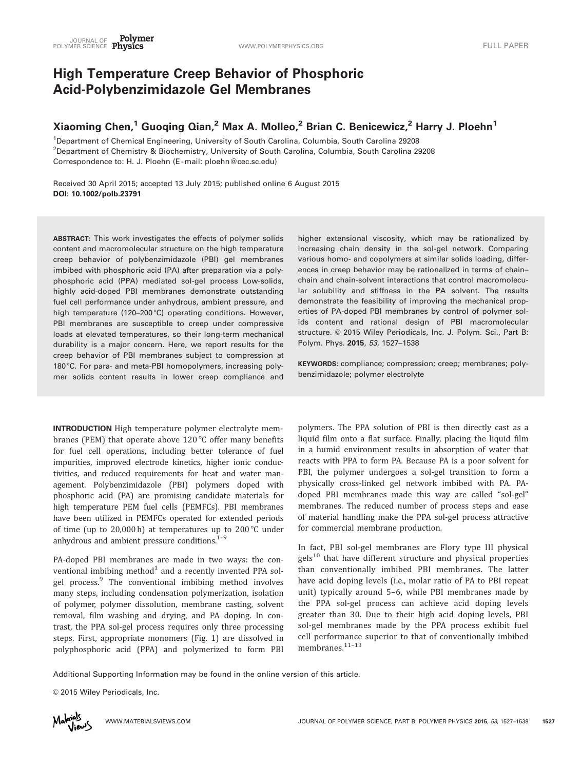# High Temperature Creep Behavior of Phosphoric Acid-Polybenzimidazole Gel Membranes

# Xiaoming Chen,<sup>1</sup> Guoqing Qian,<sup>2</sup> Max A. Molleo,<sup>2</sup> Brian C. Benicewicz,<sup>2</sup> Harry J. Ploehn<sup>1</sup>

1 Department of Chemical Engineering, University of South Carolina, Columbia, South Carolina 29208 2 Department of Chemistry & Biochemistry, University of South Carolina, Columbia, South Carolina 29208 Correspondence to: H. J. Ploehn (E -mail: ploehn@cec.sc.edu)

Received 30 April 2015; accepted 13 July 2015; published online 6 August 2015 DOI: 10.1002/polb.23791

ABSTRACT: This work investigates the effects of polymer solids content and macromolecular structure on the high temperature creep behavior of polybenzimidazole (PBI) gel membranes imbibed with phosphoric acid (PA) after preparation via a polyphosphoric acid (PPA) mediated sol-gel process Low-solids, highly acid-doped PBI membranes demonstrate outstanding fuel cell performance under anhydrous, ambient pressure, and high temperature (120–200 $^{\circ}$ C) operating conditions. However, PBI membranes are susceptible to creep under compressive loads at elevated temperatures, so their long-term mechanical durability is a major concern. Here, we report results for the creep behavior of PBI membranes subject to compression at 180 °C. For para- and meta-PBI homopolymers, increasing polymer solids content results in lower creep compliance and

increasing chain density in the sol-gel network. Comparing various homo- and copolymers at similar solids loading, differences in creep behavior may be rationalized in terms of chain– chain and chain-solvent interactions that control macromolecular solubility and stiffness in the PA solvent. The results demonstrate the feasibility of improving the mechanical properties of PA-doped PBI membranes by control of polymer solids content and rational design of PBI macromolecular structure. © 2015 Wiley Periodicals, Inc. J. Polym. Sci., Part B: Polym. Phys. 2015, 53, 1527–1538

higher extensional viscosity, which may be rationalized by

KEYWORDS: compliance; compression; creep; membranes; polybenzimidazole; polymer electrolyte

INTRODUCTION High temperature polymer electrolyte membranes (PEM) that operate above  $120^{\circ}$ C offer many benefits for fuel cell operations, including better tolerance of fuel impurities, improved electrode kinetics, higher ionic conductivities, and reduced requirements for heat and water management. Polybenzimidazole (PBI) polymers doped with phosphoric acid (PA) are promising candidate materials for high temperature PEM fuel cells (PEMFCs). PBI membranes have been utilized in PEMFCs operated for extended periods of time (up to 20,000 h) at temperatures up to 200 $\degree$ C under anhydrous and ambient pressure conditions. $1-9$ 

PA-doped PBI membranes are made in two ways: the conventional imbibing method $1$  and a recently invented PPA solgel process.<sup>9</sup> The conventional imbibing method involves many steps, including condensation polymerization, isolation of polymer, polymer dissolution, membrane casting, solvent removal, film washing and drying, and PA doping. In contrast, the PPA sol-gel process requires only three processing steps. First, appropriate monomers (Fig. 1) are dissolved in polyphosphoric acid (PPA) and polymerized to form PBI

polymers. The PPA solution of PBI is then directly cast as a liquid film onto a flat surface. Finally, placing the liquid film in a humid environment results in absorption of water that reacts with PPA to form PA. Because PA is a poor solvent for PBI, the polymer undergoes a sol-gel transition to form a physically cross-linked gel network imbibed with PA. PAdoped PBI membranes made this way are called "sol-gel" membranes. The reduced number of process steps and ease of material handling make the PPA sol-gel process attractive for commercial membrane production.

In fact, PBI sol-gel membranes are Flory type III physical  $gels<sup>10</sup>$  that have different structure and physical properties than conventionally imbibed PBI membranes. The latter have acid doping levels (i.e., molar ratio of PA to PBI repeat unit) typically around 5–6, while PBI membranes made by the PPA sol-gel process can achieve acid doping levels greater than 30. Due to their high acid doping levels, PBI sol-gel membranes made by the PPA process exhibit fuel cell performance superior to that of conventionally imbibed membranes. $11-13$ 

Additional Supporting Information may be found in the online version of this article.

© 2015 Wiley Periodicals, Inc.

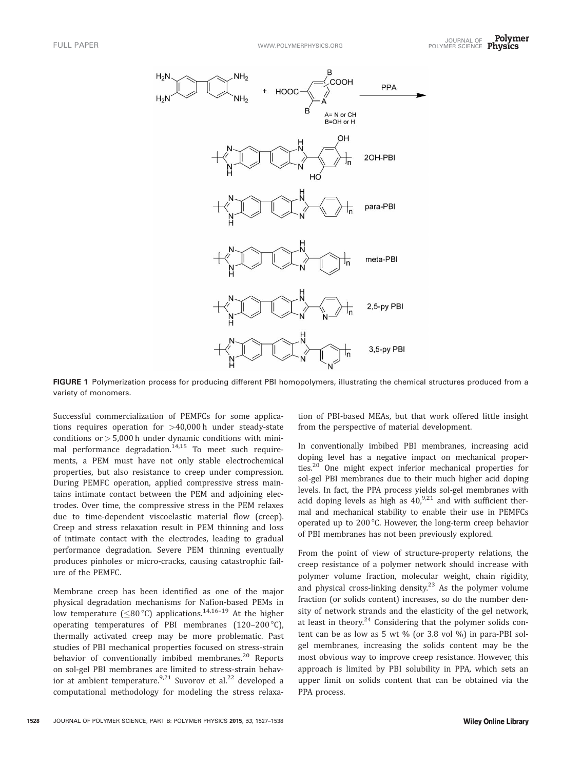

FIGURE 1 Polymerization process for producing different PBI homopolymers, illustrating the chemical structures produced from a variety of monomers.

Successful commercialization of PEMFCs for some applications requires operation for >40,000 h under steady-state conditions or  $> 5,000$  h under dynamic conditions with minimal performance degradation.<sup>14,15</sup> To meet such requirements, a PEM must have not only stable electrochemical properties, but also resistance to creep under compression. During PEMFC operation, applied compressive stress maintains intimate contact between the PEM and adjoining electrodes. Over time, the compressive stress in the PEM relaxes due to time-dependent viscoelastic material flow (creep). Creep and stress relaxation result in PEM thinning and loss of intimate contact with the electrodes, leading to gradual performance degradation. Severe PEM thinning eventually produces pinholes or micro-cracks, causing catastrophic failure of the PEMFC.

Membrane creep has been identified as one of the major physical degradation mechanisms for Nafion-based PEMs in low temperature ( $\leq$ 80 °C) applications.<sup>14,16-19</sup> At the higher operating temperatures of PBI membranes  $(120-200\degree C)$ , thermally activated creep may be more problematic. Past studies of PBI mechanical properties focused on stress-strain behavior of conventionally imbibed membranes.<sup>20</sup> Reports on sol-gel PBI membranes are limited to stress-strain behavior at ambient temperature.<sup>9,21</sup> Suvorov et al.<sup>22</sup> developed a computational methodology for modeling the stress relaxa-

tion of PBI-based MEAs, but that work offered little insight from the perspective of material development.

In conventionally imbibed PBI membranes, increasing acid doping level has a negative impact on mechanical properties.<sup>20</sup> One might expect inferior mechanical properties for sol-gel PBI membranes due to their much higher acid doping levels. In fact, the PPA process yields sol-gel membranes with acid doping levels as high as  $40$ ,  $9.21$  and with sufficient thermal and mechanical stability to enable their use in PEMFCs operated up to 200 $^{\circ}$ C. However, the long-term creep behavior of PBI membranes has not been previously explored.

From the point of view of structure-property relations, the creep resistance of a polymer network should increase with polymer volume fraction, molecular weight, chain rigidity, and physical cross-linking density.<sup>23</sup> As the polymer volume fraction (or solids content) increases, so do the number density of network strands and the elasticity of the gel network, at least in theory. $24$  Considering that the polymer solids content can be as low as 5 wt % (or 3.8 vol %) in para-PBI solgel membranes, increasing the solids content may be the most obvious way to improve creep resistance. However, this approach is limited by PBI solubility in PPA, which sets an upper limit on solids content that can be obtained via the PPA process.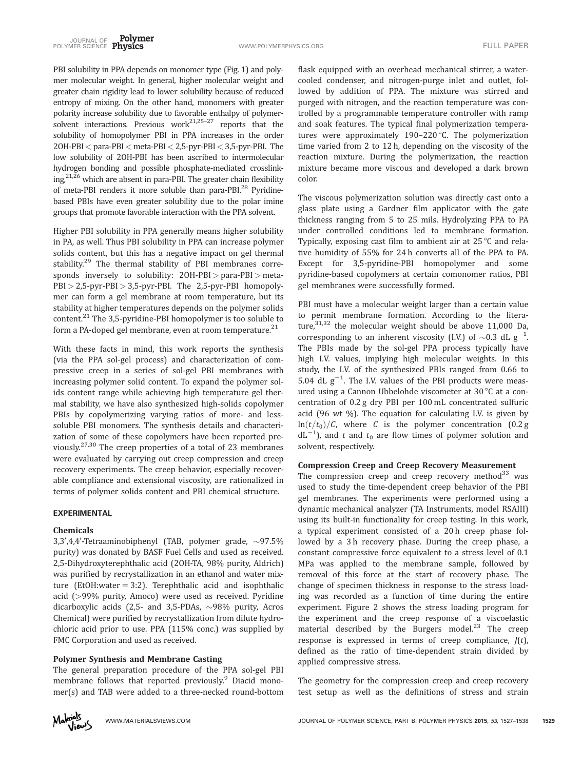PBI solubility in PPA depends on monomer type (Fig. 1) and polymer molecular weight. In general, higher molecular weight and greater chain rigidity lead to lower solubility because of reduced entropy of mixing. On the other hand, monomers with greater polarity increase solubility due to favorable enthalpy of polymersolvent interactions. Previous work<sup>21,25-27</sup> reports that the solubility of homopolymer PBI in PPA increases in the order  $2OH-PBI <$  para-PBI  $<$  meta-PBI  $< 2.5$ -pyr-PBI $< 3.5$ -pyr-PBI. The low solubility of 2OH-PBI has been ascribed to intermolecular hydrogen bonding and possible phosphate-mediated crosslinking,<sup>21,26</sup> which are absent in para-PBI. The greater chain flexibility of meta-PBI renders it more soluble than para-PBI.<sup>28</sup> Pyridinebased PBIs have even greater solubility due to the polar imine groups that promote favorable interaction with the PPA solvent.

Higher PBI solubility in PPA generally means higher solubility in PA, as well. Thus PBI solubility in PPA can increase polymer solids content, but this has a negative impact on gel thermal stability.<sup>29</sup> The thermal stability of PBI membranes corresponds inversely to solubility: 2OH-PBI > para-PBI > meta-PBI > 2,5-pyr-PBI > 3,5-pyr-PBI. The 2,5-pyr-PBI homopolymer can form a gel membrane at room temperature, but its stability at higher temperatures depends on the polymer solids content.<sup>21</sup> The 3,5-pyridine-PBI homopolymer is too soluble to form a PA-doped gel membrane, even at room temperature.<sup>21</sup>

With these facts in mind, this work reports the synthesis (via the PPA sol-gel process) and characterization of compressive creep in a series of sol-gel PBI membranes with increasing polymer solid content. To expand the polymer solids content range while achieving high temperature gel thermal stability, we have also synthesized high-solids copolymer PBIs by copolymerizing varying ratios of more- and lesssoluble PBI monomers. The synthesis details and characterization of some of these copolymers have been reported previously.<sup>27,30</sup> The creep properties of a total of 23 membranes were evaluated by carrying out creep compression and creep recovery experiments. The creep behavior, especially recoverable compliance and extensional viscosity, are rationalized in terms of polymer solids content and PBI chemical structure.

### EXPERIMENTAL

#### Chemicals

3,3',4,4'-Tetraaminobiphenyl (TAB, polymer grade,  $\sim$ 97.5% purity) was donated by BASF Fuel Cells and used as received. 2,5-Dihydroxyterephthalic acid (2OH-TA, 98% purity, Aldrich) was purified by recrystallization in an ethanol and water mixture (EtOH:water  $= 3:2$ ). Terephthalic acid and isophthalic acid (>99% purity, Amoco) were used as received. Pyridine dicarboxylic acids (2,5- and 3,5-PDAs,  $\sim$ 98% purity, Acros Chemical) were purified by recrystallization from dilute hydrochloric acid prior to use. PPA (115% conc.) was supplied by FMC Corporation and used as received.

# Polymer Synthesis and Membrane Casting

The general preparation procedure of the PPA sol-gel PBI membrane follows that reported previously.<sup>9</sup> Diacid monomer(s) and TAB were added to a three-necked round-bottom



flask equipped with an overhead mechanical stirrer, a watercooled condenser, and nitrogen-purge inlet and outlet, followed by addition of PPA. The mixture was stirred and purged with nitrogen, and the reaction temperature was controlled by a programmable temperature controller with ramp and soak features. The typical final polymerization temperatures were approximately 190-220 $\degree$ C. The polymerization time varied from 2 to 12 h, depending on the viscosity of the reaction mixture. During the polymerization, the reaction mixture became more viscous and developed a dark brown color.

The viscous polymerization solution was directly cast onto a glass plate using a Gardner film applicator with the gate thickness ranging from 5 to 25 mils. Hydrolyzing PPA to PA under controlled conditions led to membrane formation. Typically, exposing cast film to ambient air at  $25^{\circ}$ C and relative humidity of 55% for 24 h converts all of the PPA to PA. Except for 3,5-pyridine-PBI homopolymer and some pyridine-based copolymers at certain comonomer ratios, PBI gel membranes were successfully formed.

PBI must have a molecular weight larger than a certain value to permit membrane formation. According to the literature, $31,32$  the molecular weight should be above 11,000 Da, corresponding to an inherent viscosity (I.V.) of  $\sim 0.3$  dL g<sup>-1</sup>. . The PBIs made by the sol-gel PPA process typically have high I.V. values, implying high molecular weights. In this study, the I.V. of the synthesized PBIs ranged from 0.66 to 5.04 dL  $g^{-1}$ . The I.V. values of the PBI products were measured using a Cannon Ubbelohde viscometer at 30 $\degree$ C at a concentration of 0.2 g dry PBI per 100 mL concentrated sulfuric acid (96 wt %). The equation for calculating I.V. is given by  $\ln(t/t_0)/C$ , where C is the polymer concentration (0.2 g  $dL^{-1}$ ), and t and  $t_0$  are flow times of polymer solution and solvent, respectively.

# Compression Creep and Creep Recovery Measurement

The compression creep and creep recovery method<sup>33</sup> was used to study the time-dependent creep behavior of the PBI gel membranes. The experiments were performed using a dynamic mechanical analyzer (TA Instruments, model RSAIII) using its built-in functionality for creep testing. In this work, a typical experiment consisted of a 20 h creep phase followed by a 3h recovery phase. During the creep phase, a constant compressive force equivalent to a stress level of 0.1 MPa was applied to the membrane sample, followed by removal of this force at the start of recovery phase. The change of specimen thickness in response to the stress loading was recorded as a function of time during the entire experiment. Figure 2 shows the stress loading program for the experiment and the creep response of a viscoelastic material described by the Burgers model.<sup>23</sup> The creep response is expressed in terms of creep compliance,  $J(t)$ , defined as the ratio of time-dependent strain divided by applied compressive stress.

The geometry for the compression creep and creep recovery test setup as well as the definitions of stress and strain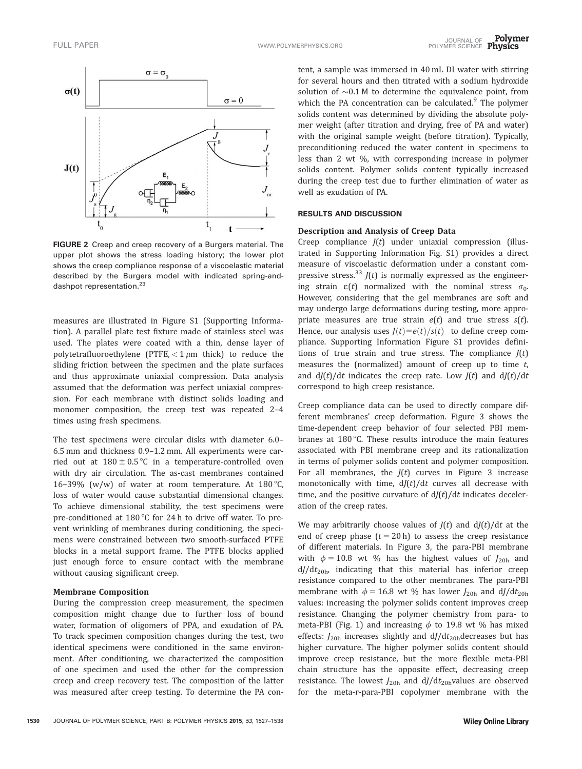

FIGURE 2 Creep and creep recovery of a Burgers material. The upper plot shows the stress loading history; the lower plot shows the creep compliance response of a viscoelastic material described by the Burgers model with indicated spring-anddashpot representation.<sup>23</sup>

measures are illustrated in Figure S1 (Supporting Information). A parallel plate test fixture made of stainless steel was used. The plates were coated with a thin, dense layer of polytetrafluoroethylene (PTFE,  $<$  1  $\mu$ m thick) to reduce the sliding friction between the specimen and the plate surfaces and thus approximate uniaxial compression. Data analysis assumed that the deformation was perfect uniaxial compression. For each membrane with distinct solids loading and monomer composition, the creep test was repeated 2–4 times using fresh specimens.

The test specimens were circular disks with diameter 6.0– 6.5 mm and thickness 0.9–1.2 mm. All experiments were carried out at  $180 \pm 0.5$  °C in a temperature-controlled oven with dry air circulation. The as-cast membranes contained 16–39% (w/w) of water at room temperature. At  $180^{\circ}$ C, loss of water would cause substantial dimensional changes. To achieve dimensional stability, the test specimens were pre-conditioned at  $180^{\circ}$ C for 24 h to drive off water. To prevent wrinkling of membranes during conditioning, the specimens were constrained between two smooth-surfaced PTFE blocks in a metal support frame. The PTFE blocks applied just enough force to ensure contact with the membrane without causing significant creep.

#### Membrane Composition

During the compression creep measurement, the specimen composition might change due to further loss of bound water, formation of oligomers of PPA, and exudation of PA. To track specimen composition changes during the test, two identical specimens were conditioned in the same environment. After conditioning, we characterized the composition of one specimen and used the other for the compression creep and creep recovery test. The composition of the latter was measured after creep testing. To determine the PA con-

tent, a sample was immersed in 40 mL DI water with stirring for several hours and then titrated with a sodium hydroxide solution of  $\sim 0.1$  M to determine the equivalence point, from which the PA concentration can be calculated.<sup>9</sup> The polymer solids content was determined by dividing the absolute polymer weight (after titration and drying, free of PA and water) with the original sample weight (before titration). Typically, preconditioning reduced the water content in specimens to less than 2 wt %, with corresponding increase in polymer solids content. Polymer solids content typically increased during the creep test due to further elimination of water as well as exudation of PA.

### RESULTS AND DISCUSSION

# Description and Analysis of Creep Data

Creep compliance  $J(t)$  under uniaxial compression (illustrated in Supporting Information Fig. S1) provides a direct measure of viscoelastic deformation under a constant compressive stress.<sup>33</sup>  $J(t)$  is normally expressed as the engineering strain  $\varepsilon(t)$  normalized with the nominal stress  $\sigma_0$ . However, considering that the gel membranes are soft and may undergo large deformations during testing, more appropriate measures are true strain  $e(t)$  and true stress  $s(t)$ . Hence, our analysis uses  $J(t) = e(t)/s(t)$  to define creep compliance. Supporting Information Figure S1 provides definitions of true strain and true stress. The compliance  $J(t)$ measures the (normalized) amount of creep up to time  $t$ , and  $d/(t)/dt$  indicates the creep rate. Low  $J(t)$  and  $d/(t)/dt$ correspond to high creep resistance.

Creep compliance data can be used to directly compare different membranes' creep deformation. Figure 3 shows the time-dependent creep behavior of four selected PBI membranes at  $180^{\circ}$ C. These results introduce the main features associated with PBI membrane creep and its rationalization in terms of polymer solids content and polymer composition. For all membranes, the  $J(t)$  curves in Figure 3 increase monotonically with time,  $d/(t)/dt$  curves all decrease with time, and the positive curvature of  $d/(t)/dt$  indicates deceleration of the creep rates.

We may arbitrarily choose values of  $J(t)$  and  $dJ(t)/dt$  at the end of creep phase  $(t = 20 h)$  to assess the creep resistance of different materials. In Figure 3, the para-PBI membrane with  $\phi = 10.8$  wt % has the highest values of  $J_{20h}$  and  $dJ/dt_{20h}$ , indicating that this material has inferior creep resistance compared to the other membranes. The para-PBI membrane with  $\phi = 16.8$  wt % has lower  $J_{20h}$  and dJ/dt<sub>20h</sub> values: increasing the polymer solids content improves creep resistance. Changing the polymer chemistry from para- to meta-PBI (Fig. 1) and increasing  $\phi$  to 19.8 wt % has mixed effects:  $J_{20h}$  increases slightly and  $dJ/dt_{20h}$ decreases but has higher curvature. The higher polymer solids content should improve creep resistance, but the more flexible meta-PBI chain structure has the opposite effect, decreasing creep resistance. The lowest  $J_{20h}$  and  $dJ/dt_{20h}$ values are observed for the meta-r-para-PBI copolymer membrane with the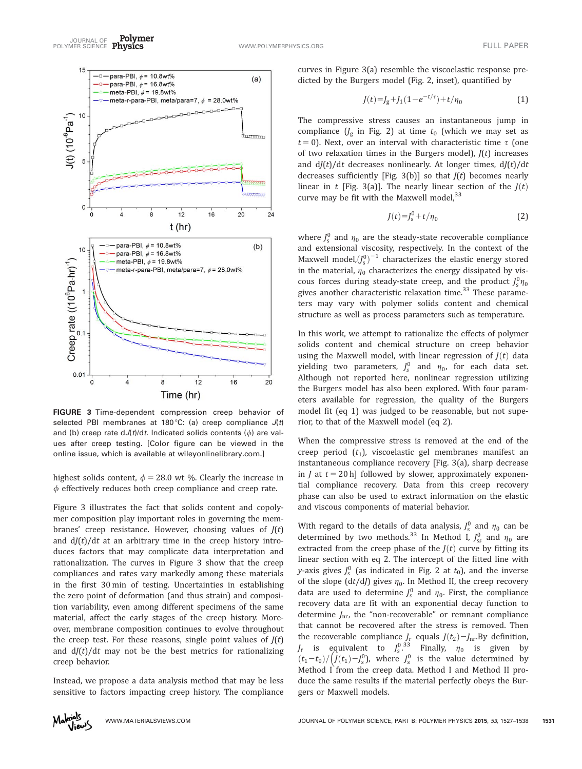Polymer JOURNAL OF TULL PAPER<br>POLYMER SCIENCE Physics The Contract of the Communication of the Contract of the Contract of Tull Paper



FIGURE 3 Time-dependent compression creep behavior of selected PBI membranes at 180 °C: (a) creep compliance  $J(t)$ and (b) creep rate  $dJ(t)/dt$ . Indicated solids contents ( $\phi$ ) are values after creep testing. [Color figure can be viewed in the online issue, which is available at [wileyonlinelibrary.com](http://wileyonlinelibrary.com).]

highest solids content,  $\phi = 28.0$  wt %. Clearly the increase in  $\phi$  effectively reduces both creep compliance and creep rate.

Figure 3 illustrates the fact that solids content and copolymer composition play important roles in governing the membranes' creep resistance. However, choosing values of  $J(t)$ and  $d/(t)/dt$  at an arbitrary time in the creep history introduces factors that may complicate data interpretation and rationalization. The curves in Figure 3 show that the creep compliances and rates vary markedly among these materials in the first 30 min of testing. Uncertainties in establishing the zero point of deformation (and thus strain) and composition variability, even among different specimens of the same material, affect the early stages of the creep history. Moreover, membrane composition continues to evolve throughout the creep test. For these reasons, single point values of  $J(t)$ and  $d/(t)/dt$  may not be the best metrics for rationalizing creep behavior.

Instead, we propose a data analysis method that may be less sensitive to factors impacting creep history. The compliance



curves in Figure 3(a) resemble the viscoelastic response predicted by the Burgers model (Fig. 2, inset), quantified by

$$
J(t)=J_{g}+J_{1}(1-e^{-t/\tau})+t/\eta_{0}
$$
\n(1)

The compressive stress causes an instantaneous jump in compliance  $\left(\frac{1}{8}\right)$  in Fig. 2) at time  $t_0$  (which we may set as  $t = 0$ ). Next, over an interval with characteristic time  $\tau$  (one of two relaxation times in the Burgers model),  $J(t)$  increases and  $dJ(t)/dt$  decreases nonlinearly. At longer times,  $dJ(t)/dt$ decreases sufficiently [Fig. 3(b)] so that  $J(t)$  becomes nearly linear in t [Fig. 3(a)]. The nearly linear section of the  $J(t)$ curve may be fit with the Maxwell model,  $33$ 

$$
J(t) = J_s^0 + t/\eta_0 \tag{2}
$$

where  $J_s^0$  and  $\eta_0$  are the steady-state recoverable compliance and extensional viscosity, respectively. In the context of the Maxwell model, $\left(J_{\rm s}^0\right)^{-1}$  characterizes the elastic energy stored in the material,  $\eta_0$  characterizes the energy dissipated by viscous forces during steady-state creep, and the product  $J_s^0 \eta_0$ gives another characteristic relaxation time.<sup>33</sup> These parameters may vary with polymer solids content and chemical structure as well as process parameters such as temperature.

In this work, we attempt to rationalize the effects of polymer solids content and chemical structure on creep behavior using the Maxwell model, with linear regression of  $J(t)$  data yielding two parameters,  $J_s^0$  and  $\eta_0$ , for each data set. Although not reported here, nonlinear regression utilizing the Burgers model has also been explored. With four parameters available for regression, the quality of the Burgers model fit (eq 1) was judged to be reasonable, but not superior, to that of the Maxwell model (eq 2).

When the compressive stress is removed at the end of the creep period  $(t_1)$ , viscoelastic gel membranes manifest an instantaneous compliance recovery [Fig. 3(a), sharp decrease in *I* at  $t = 20$  h] followed by slower, approximately exponential compliance recovery. Data from this creep recovery phase can also be used to extract information on the elastic and viscous components of material behavior.

With regard to the details of data analysis,  $J_s^0$  and  $\eta_0$  can be determined by two methods.<sup>33</sup> In Method I,  $J_{ss}^0$  and  $\eta_0$  are extracted from the creep phase of the  $J(t)$  curve by fitting its linear section with eq 2. The intercept of the fitted line with y-axis gives  $J_s^0$  (as indicated in Fig. 2 at  $t_0$ ), and the inverse of the slope (dt/dJ) gives  $\eta_0$ . In Method II, the creep recovery data are used to determine  $J_s^0$  and  $\eta_0$ . First, the compliance recovery data are fit with an exponential decay function to determine  $J_{\rm nr}$ , the "non-recoverable" or remnant compliance that cannot be recovered after the stress is removed. Then the recoverable compliance  $J_r$  equals  $J(t_2) - J_{nr}$ . By definition,  $J_r$  is equivalent to  $J_s^{0.33}$  Finally,  $\eta_0$  is given by  $(t_1-t_0)/\left(J(t_1)-J_s^0\right)$ , where  $J_s^0$  is the value determined by Method I from the creep data. Method I and Method II produce the same results if the material perfectly obeys the Burgers or Maxwell models.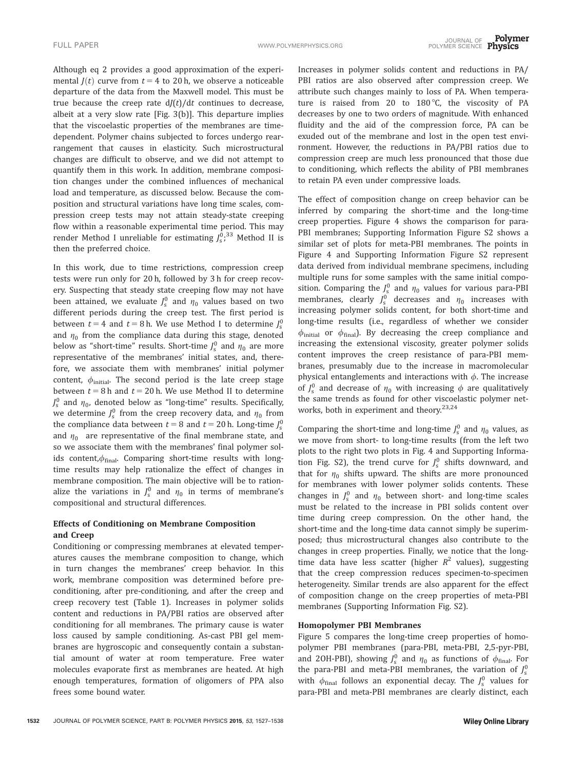Although eq 2 provides a good approximation of the experimental  $J(t)$  curve from  $t = 4$  to 20 h, we observe a noticeable departure of the data from the Maxwell model. This must be true because the creep rate  $d/(t)/dt$  continues to decrease, albeit at a very slow rate [Fig. 3(b)]. This departure implies that the viscoelastic properties of the membranes are timedependent. Polymer chains subjected to forces undergo rearrangement that causes in elasticity. Such microstructural changes are difficult to observe, and we did not attempt to quantify them in this work. In addition, membrane composition changes under the combined influences of mechanical load and temperature, as discussed below. Because the composition and structural variations have long time scales, compression creep tests may not attain steady-state creeping flow within a reasonable experimental time period. This may render Method I unreliable for estimating  $J_{\rm s}^{0,33}$  Method II is then the preferred choice.

In this work, due to time restrictions, compression creep tests were run only for 20 h, followed by 3 h for creep recovery. Suspecting that steady state creeping flow may not have been attained, we evaluate  $J_{\rm s}^0$  and  $\eta_0$  values based on two different periods during the creep test. The first period is between  $t = 4$  and  $t = 8$  h. We use Method I to determine  $J_s^0$ and  $\eta_0$  from the compliance data during this stage, denoted below as "short-time" results. Short-time  $J_{\rm s}^0$  and  $\eta_0$  are more representative of the membranes' initial states, and, therefore, we associate them with membranes' initial polymer content,  $\phi_{initial}$ . The second period is the late creep stage between  $t = 8$  h and  $t = 20$  h. We use Method II to determine  $J_{\rm s}^0$  and  $\eta_{\rm 0}$ , denoted below as "long-time" results. Specifically, we determine  $J_s^0$  from the creep recovery data, and  $\eta_0$  from the compliance data between  $t = 8$  and  $t = 20$  h. Long-time  $J_s^0$ and  $\eta_0$  are representative of the final membrane state, and so we associate them with the membranes' final polymer solids content, $\phi_{final}$ . Comparing short-time results with longtime results may help rationalize the effect of changes in membrane composition. The main objective will be to rationalize the variations in  $J_s^0$  and  $\eta_0$  in terms of membrane's compositional and structural differences.

# Effects of Conditioning on Membrane Composition and Creep

Conditioning or compressing membranes at elevated temperatures causes the membrane composition to change, which in turn changes the membranes' creep behavior. In this work, membrane composition was determined before preconditioning, after pre-conditioning, and after the creep and creep recovery test (Table 1). Increases in polymer solids content and reductions in PA/PBI ratios are observed after conditioning for all membranes. The primary cause is water loss caused by sample conditioning. As-cast PBI gel membranes are hygroscopic and consequently contain a substantial amount of water at room temperature. Free water molecules evaporate first as membranes are heated. At high enough temperatures, formation of oligomers of PPA also frees some bound water.

Increases in polymer solids content and reductions in PA/ PBI ratios are also observed after compression creep. We attribute such changes mainly to loss of PA. When temperature is raised from 20 to  $180^{\circ}$ C, the viscosity of PA decreases by one to two orders of magnitude. With enhanced fluidity and the aid of the compression force, PA can be exuded out of the membrane and lost in the open test environment. However, the reductions in PA/PBI ratios due to compression creep are much less pronounced that those due to conditioning, which reflects the ability of PBI membranes to retain PA even under compressive loads.

The effect of composition change on creep behavior can be inferred by comparing the short-time and the long-time creep properties. Figure 4 shows the comparison for para-PBI membranes; Supporting Information Figure S2 shows a similar set of plots for meta-PBI membranes. The points in Figure 4 and Supporting Information Figure S2 represent data derived from individual membrane specimens, including multiple runs for some samples with the same initial composition. Comparing the  $J_s^0$  and  $\eta_0$  values for various para-PBI membranes, clearly  $J_s^0$  decreases and  $\eta_0$  increases with increasing polymer solids content, for both short-time and long-time results (i.e., regardless of whether we consider  $\phi_{initial}$  or  $\phi_{final}$ ). By decreasing the creep compliance and increasing the extensional viscosity, greater polymer solids content improves the creep resistance of para-PBI membranes, presumably due to the increase in macromolecular physical entanglements and interactions with  $\phi$ . The increase of  $J_s^0$  and decrease of  $\eta_0$  with increasing  $\phi$  are qualitatively the same trends as found for other viscoelastic polymer networks, both in experiment and theory.<sup>23,24</sup>

Comparing the short-time and long-time  $J_s^0$  and  $\eta_0$  values, as we move from short- to long-time results (from the left two plots to the right two plots in Fig. 4 and Supporting Information Fig. S2), the trend curve for  $J_s^0$  shifts downward, and that for  $\eta_0$  shifts upward. The shifts are more pronounced for membranes with lower polymer solids contents. These changes in  $J_s^0$  and  $\eta_0$  between short- and long-time scales must be related to the increase in PBI solids content over time during creep compression. On the other hand, the short-time and the long-time data cannot simply be superimposed; thus microstructural changes also contribute to the changes in creep properties. Finally, we notice that the longtime data have less scatter (higher  $R^2$  values), suggesting that the creep compression reduces specimen-to-specimen heterogeneity. Similar trends are also apparent for the effect of composition change on the creep properties of meta-PBI membranes (Supporting Information Fig. S2).

# Homopolymer PBI Membranes

Figure 5 compares the long-time creep properties of homopolymer PBI membranes (para-PBI, meta-PBI, 2,5-pyr-PBI, and 20H-PBI), showing  $J_s^0$  and  $\eta_0$  as functions of  $\phi_{\text{final}}$ . For the para-PBI and meta-PBI membranes, the variation of  $J_s^0$ with  $\phi_{\text{final}}$  follows an exponential decay. The  $J_{\text{s}}^0$  values for para-PBI and meta-PBI membranes are clearly distinct, each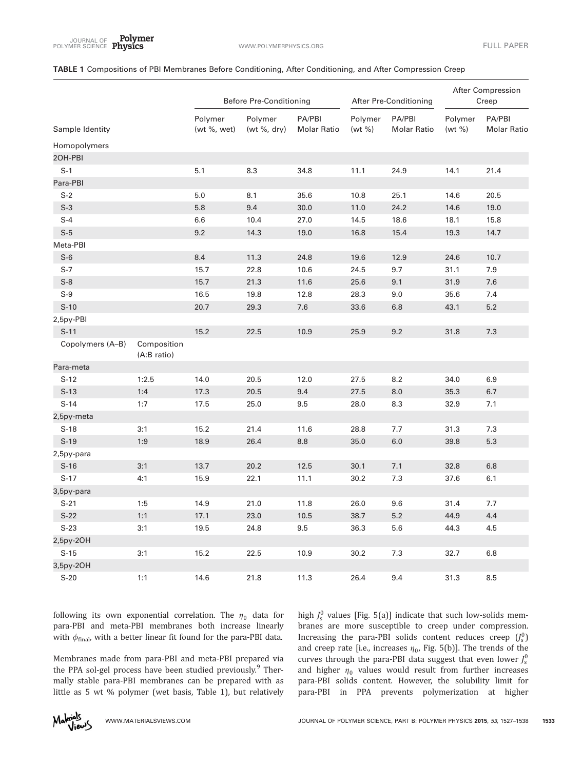## TABLE 1 Compositions of PBI Membranes Before Conditioning, After Conditioning, and After Compression Creep

|                  |                            | <b>Before Pre-Conditioning</b> |                            | After Pre-Conditioning       |                       | After Compression<br>Creep   |                   |                              |
|------------------|----------------------------|--------------------------------|----------------------------|------------------------------|-----------------------|------------------------------|-------------------|------------------------------|
| Sample Identity  |                            | Polymer<br>(wt %, wet)         | Polymer<br>(wt $\%$ , dry) | PA/PBI<br><b>Molar Ratio</b> | Polymer<br>(wt $\%$ ) | PA/PBI<br><b>Molar Ratio</b> | Polymer<br>(wt %) | PA/PBI<br><b>Molar Ratio</b> |
| Homopolymers     |                            |                                |                            |                              |                       |                              |                   |                              |
| 2OH-PBI          |                            |                                |                            |                              |                       |                              |                   |                              |
| $S-1$            |                            | 5.1                            | 8.3                        | 34.8                         | 11.1                  | 24.9                         | 14.1              | 21.4                         |
| Para-PBI         |                            |                                |                            |                              |                       |                              |                   |                              |
| $S-2$            |                            | 5.0                            | 8.1                        | 35.6                         | 10.8                  | 25.1                         | 14.6              | 20.5                         |
| $S-3$            |                            | 5.8                            | 9.4                        | 30.0                         | 11.0                  | 24.2                         | 14.6              | 19.0                         |
| $S-4$            |                            | 6.6                            | 10.4                       | 27.0                         | 14.5                  | 18.6                         | 18.1              | 15.8                         |
| $S-5$            |                            | 9.2                            | 14.3                       | 19.0                         | 16.8                  | 15.4                         | 19.3              | 14.7                         |
| Meta-PBI         |                            |                                |                            |                              |                       |                              |                   |                              |
| $S-6$            |                            | $8.4\,$                        | 11.3                       | 24.8                         | 19.6                  | 12.9                         | 24.6              | 10.7                         |
| $S-7$            |                            | 15.7                           | 22.8                       | 10.6                         | 24.5                  | 9.7                          | 31.1              | 7.9                          |
| $S-8$            |                            | 15.7                           | 21.3                       | 11.6                         | 25.6                  | 9.1                          | 31.9              | 7.6                          |
| $S-9$            |                            | 16.5                           | 19.8                       | 12.8                         | 28.3                  | 9.0                          | 35.6              | 7.4                          |
| $S-10$           |                            | 20.7                           | 29.3                       | 7.6                          | 33.6                  | 6.8                          | 43.1              | $5.2\,$                      |
| 2,5py-PBI        |                            |                                |                            |                              |                       |                              |                   |                              |
| $S-11$           |                            | 15.2                           | 22.5                       | 10.9                         | 25.9                  | 9.2                          | 31.8              | 7.3                          |
| Copolymers (A-B) | Composition<br>(A:B ratio) |                                |                            |                              |                       |                              |                   |                              |
| Para-meta        |                            |                                |                            |                              |                       |                              |                   |                              |
| $S-12$           | 1:2.5                      | 14.0                           | 20.5                       | 12.0                         | 27.5                  | 8.2                          | 34.0              | 6.9                          |
| $S-13$           | 1:4                        | 17.3                           | 20.5                       | 9.4                          | 27.5                  | 8.0                          | 35.3              | 6.7                          |
| $S-14$           | 1:7                        | 17.5                           | 25.0                       | 9.5                          | 28.0                  | 8.3                          | 32.9              | 7.1                          |
| 2,5py-meta       |                            |                                |                            |                              |                       |                              |                   |                              |
| $S-18$           | 3:1                        | 15.2                           | 21.4                       | 11.6                         | 28.8                  | 7.7                          | 31.3              | 7.3                          |
| $S-19$           | 1:9                        | 18.9                           | 26.4                       | 8.8                          | 35.0                  | 6.0                          | 39.8              | 5.3                          |
| 2,5py-para       |                            |                                |                            |                              |                       |                              |                   |                              |
| $S-16$           | 3:1                        | 13.7                           | 20.2                       | 12.5                         | 30.1                  | 7.1                          | 32.8              | 6.8                          |
| $S-17$           | 4:1                        | 15.9                           | 22.1                       | 11.1                         | 30.2                  | 7.3                          | 37.6              | 6.1                          |
| 3,5py-para       |                            |                                |                            |                              |                       |                              |                   |                              |
| $S-21$           | 1:5                        | 14.9                           | 21.0                       | 11.8                         | 26.0                  | 9.6                          | 31.4              | 7.7                          |
| $S-22$           | 1:1                        | 17.1                           | 23.0                       | $10.5$                       | 38.7                  | $5.2\,$                      | 44.9              | 4.4                          |
| $S-23$           | 3:1                        | 19.5                           | 24.8                       | 9.5                          | 36.3                  | 5.6                          | 44.3              | 4.5                          |
| 2,5py-2OH        |                            |                                |                            |                              |                       |                              |                   |                              |
| $S-15$           | 3:1                        | 15.2                           | 22.5                       | 10.9                         | 30.2                  | 7.3                          | 32.7              | 6.8                          |
| 3,5py-2OH        |                            |                                |                            |                              |                       |                              |                   |                              |
| $S-20$           | 1:1                        | 14.6                           | 21.8                       | 11.3                         | 26.4                  | 9.4                          | 31.3              | 8.5                          |

following its own exponential correlation. The  $\eta_0$  data for para-PBI and meta-PBI membranes both increase linearly with  $\phi_{\text{final}}$ , with a better linear fit found for the para-PBI data.

Membranes made from para-PBI and meta-PBI prepared via the PPA sol-gel process have been studied previously.<sup>9</sup> Thermally stable para-PBI membranes can be prepared with as little as 5 wt % polymer (wet basis, Table 1), but relatively

high  $J_{\rm s}^0$  values [Fig. 5(a)] indicate that such low-solids membranes are more susceptible to creep under compression. Increasing the para-PBI solids content reduces creep  $(\int_{s}^{0})$ and creep rate [i.e., increases  $\eta_0$ , Fig. 5(b)]. The trends of the curves through the para-PBI data suggest that even lower  $J_s^0$ and higher  $\eta_0$  values would result from further increases para-PBI solids content. However, the solubility limit for para-PBI in PPA prevents polymerization at higher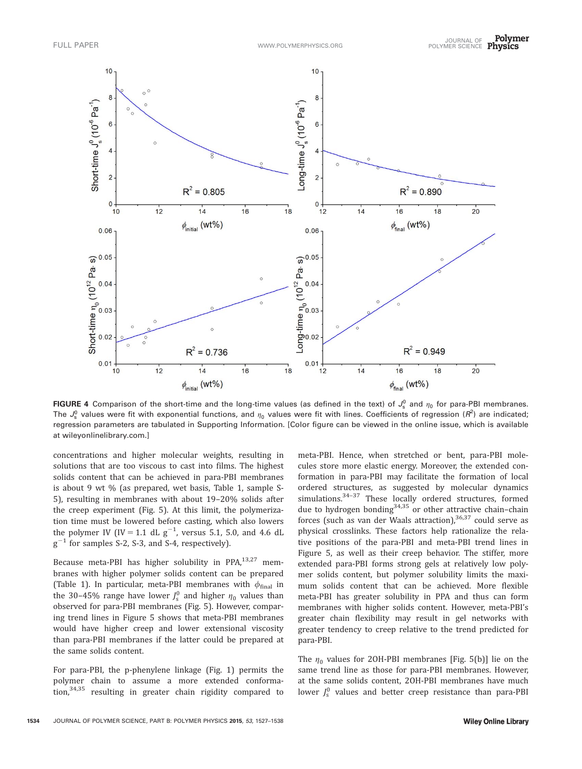

FIGURE 4 Comparison of the short-time and the long-time values (as defined in the text) of  $J_s^0$  and  $\eta_0$  for para-PBI membranes. The  $J_s^0$  values were fit with exponential functions, and  $\eta_0$  values were fit with lines. Coefficients of regression ( $R^2$ ) are indicated; regression parameters are tabulated in Supporting Information. [Color figure can be viewed in the online issue, which is available at [wileyonlinelibrary.com](http://wileyonlinelibrary.com).]

concentrations and higher molecular weights, resulting in solutions that are too viscous to cast into films. The highest solids content that can be achieved in para-PBI membranes is about 9 wt % (as prepared, wet basis, Table 1, sample S-5), resulting in membranes with about 19–20% solids after the creep experiment (Fig. 5). At this limit, the polymerization time must be lowered before casting, which also lowers the polymer IV (IV = 1.1 dL  $g^{-1}$ , versus 5.1, 5.0, and 4.6 dL  $g^{-1}$  for samples S-2, S-3, and S-4, respectively).

Because meta-PBI has higher solubility in PPA,<sup>13,27</sup> membranes with higher polymer solids content can be prepared (Table 1). In particular, meta-PBI membranes with  $\phi_{final}$  in the 30–45% range have lower  $J_s^0$  and higher  $\eta_0$  values than observed for para-PBI membranes (Fig. 5). However, comparing trend lines in Figure 5 shows that meta-PBI membranes would have higher creep and lower extensional viscosity than para-PBI membranes if the latter could be prepared at the same solids content.

For para-PBI, the p-phenylene linkage (Fig. 1) permits the polymer chain to assume a more extended conformation,34,35 resulting in greater chain rigidity compared to

meta-PBI. Hence, when stretched or bent, para-PBI molecules store more elastic energy. Moreover, the extended conformation in para-PBI may facilitate the formation of local ordered structures, as suggested by molecular dynamics simulations.<sup>34-37</sup> These locally ordered structures, formed due to hydrogen bonding $34,35$  or other attractive chain–chain forces (such as van der Waals attraction),  $36,37$  could serve as physical crosslinks. These factors help rationalize the relative positions of the para-PBI and meta-PBI trend lines in Figure 5, as well as their creep behavior. The stiffer, more extended para-PBI forms strong gels at relatively low polymer solids content, but polymer solubility limits the maximum solids content that can be achieved. More flexible meta-PBI has greater solubility in PPA and thus can form membranes with higher solids content. However, meta-PBI's greater chain flexibility may result in gel networks with greater tendency to creep relative to the trend predicted for para-PBI.

The  $\eta_0$  values for 20H-PBI membranes [Fig. 5(b)] lie on the same trend line as those for para-PBI membranes. However, at the same solids content, 2OH-PBI membranes have much lower  $J_{\rm s}^0$  values and better creep resistance than para-PBI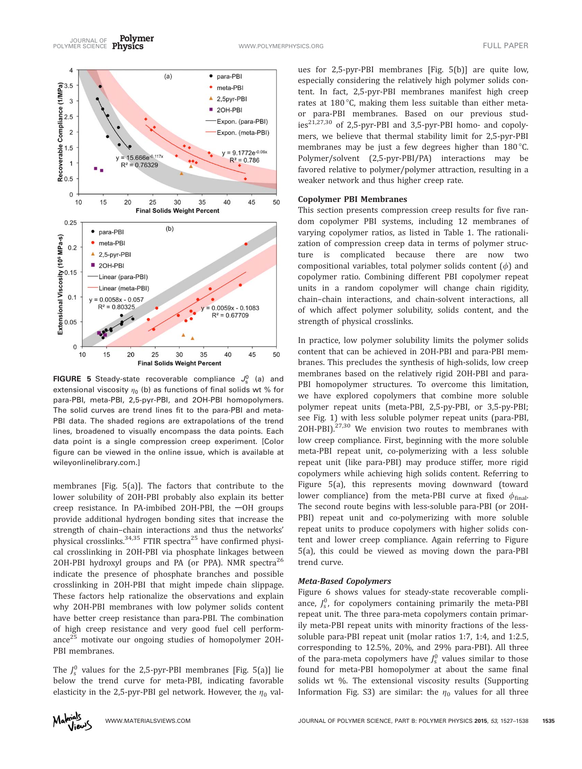Polymer JOURNAL OF TULL PAPER<br>POLYMER SCIENCE Physics The Contract of the Communication of the Contract of the Contract of Tull Paper



**FIGURE 5** Steady-state recoverable compliance  $J_s^0$  (a) and extensional viscosity  $\eta_0$  (b) as functions of final solids wt % for para-PBI, meta-PBI, 2,5-pyr-PBI, and 2OH-PBI homopolymers. The solid curves are trend lines fit to the para-PBI and meta-PBI data. The shaded regions are extrapolations of the trend lines, broadened to visually encompass the data points. Each data point is a single compression creep experiment. [Color figure can be viewed in the online issue, which is available at [wileyonlinelibrary.com.](http://wileyonlinelibrary.com)]

membranes [Fig. 5(a)]. The factors that contribute to the lower solubility of 2OH-PBI probably also explain its better creep resistance. In PA-imbibed 20H-PBI, the  $-\text{OH}$  groups provide additional hydrogen bonding sites that increase the strength of chain–chain interactions and thus the networks' physical crosslinks. $34,35$  FTIR spectra<sup>25</sup> have confirmed physical crosslinking in 2OH-PBI via phosphate linkages between 2OH-PBI hydroxyl groups and PA (or PPA). NMR spectra<sup>26</sup> indicate the presence of phosphate branches and possible crosslinking in 2OH-PBI that might impede chain slippage. These factors help rationalize the observations and explain why 2OH-PBI membranes with low polymer solids content have better creep resistance than para-PBI. The combination of high creep resistance and very good fuel cell performance<sup>25</sup> motivate our ongoing studies of homopolymer 20H-PBI membranes.

The  $J_s^0$  values for the 2,5-pyr-PBI membranes [Fig. 5(a)] lie below the trend curve for meta-PBI, indicating favorable elasticity in the 2,5-pyr-PBI gel network. However, the  $\eta_0$  val-

ues for 2,5-pyr-PBI membranes [Fig. 5(b)] are quite low, especially considering the relatively high polymer solids content. In fact, 2,5-pyr-PBI membranes manifest high creep rates at  $180^{\circ}$ C, making them less suitable than either metaor para-PBI membranes. Based on our previous studies<sup>21,27,30</sup> of 2,5-pyr-PBI and 3,5-pyr-PBI homo- and copolymers, we believe that thermal stability limit for 2,5-pyr-PBI membranes may be just a few degrees higher than  $180^{\circ}$ C. Polymer/solvent (2,5-pyr-PBI/PA) interactions may be favored relative to polymer/polymer attraction, resulting in a weaker network and thus higher creep rate.

#### Copolymer PBI Membranes

This section presents compression creep results for five random copolymer PBI systems, including 12 membranes of varying copolymer ratios, as listed in Table 1. The rationalization of compression creep data in terms of polymer structure is complicated because there are now two compositional variables, total polymer solids content  $(\phi)$  and copolymer ratio. Combining different PBI copolymer repeat units in a random copolymer will change chain rigidity, chain–chain interactions, and chain-solvent interactions, all of which affect polymer solubility, solids content, and the strength of physical crosslinks.

In practice, low polymer solubility limits the polymer solids content that can be achieved in 2OH-PBI and para-PBI membranes. This precludes the synthesis of high-solids, low creep membranes based on the relatively rigid 2OH-PBI and para-PBI homopolymer structures. To overcome this limitation, we have explored copolymers that combine more soluble polymer repeat units (meta-PBI, 2,5-py-PBI, or 3,5-py-PBI; see Fig. 1) with less soluble polymer repeat units (para-PBI, 2OH-PBI). $27,30$  We envision two routes to membranes with low creep compliance. First, beginning with the more soluble meta-PBI repeat unit, co-polymerizing with a less soluble repeat unit (like para-PBI) may produce stiffer, more rigid copolymers while achieving high solids content. Referring to Figure 5(a), this represents moving downward (toward lower compliance) from the meta-PBI curve at fixed  $\phi_{final}$ . The second route begins with less-soluble para-PBI (or 2OH-PBI) repeat unit and co-polymerizing with more soluble repeat units to produce copolymers with higher solids content and lower creep compliance. Again referring to Figure 5(a), this could be viewed as moving down the para-PBI trend curve.

#### Meta-Based Copolymers

Figure 6 shows values for steady-state recoverable compliance,  $J_s^0$ , for copolymers containing primarily the meta-PBI repeat unit. The three para-meta copolymers contain primarily meta-PBI repeat units with minority fractions of the lesssoluble para-PBI repeat unit (molar ratios 1:7, 1:4, and 1:2.5, corresponding to 12.5%, 20%, and 29% para-PBI). All three of the para-meta copolymers have  $J_s^0$  values similar to those found for meta-PBI homopolymer at about the same final solids wt %. The extensional viscosity results (Supporting Information Fig. S3) are similar: the  $\eta_0$  values for all three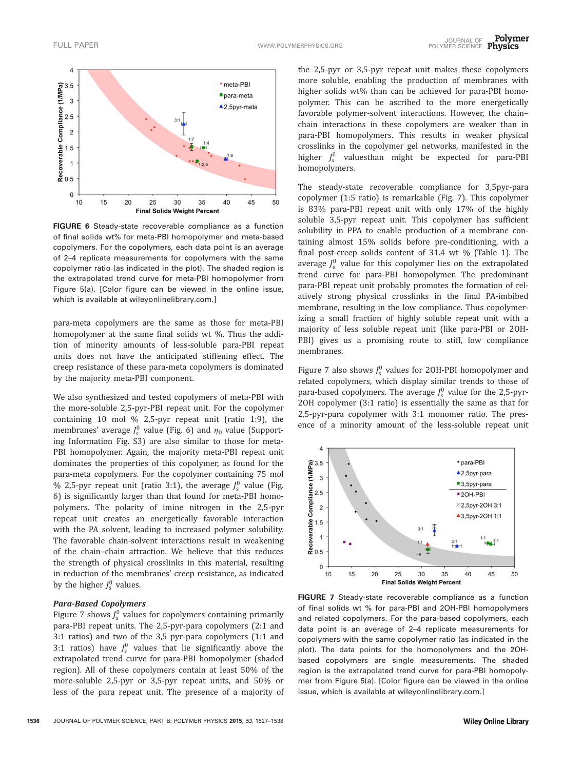

FIGURE 6 Steady-state recoverable compliance as a function of final solids wt% for meta-PBI homopolymer and meta-based copolymers. For the copolymers, each data point is an average of 2–4 replicate measurements for copolymers with the same copolymer ratio (as indicated in the plot). The shaded region is the extrapolated trend curve for meta-PBI homopolymer from Figure 5(a). [Color figure can be viewed in the online issue, which is available at [wileyonlinelibrary.com.](http://wileyonlinelibrary.com)]

para-meta copolymers are the same as those for meta-PBI homopolymer at the same final solids wt %. Thus the addition of minority amounts of less-soluble para-PBI repeat units does not have the anticipated stiffening effect. The creep resistance of these para-meta copolymers is dominated by the majority meta-PBI component.

We also synthesized and tested copolymers of meta-PBI with the more-soluble 2,5-pyr-PBI repeat unit. For the copolymer containing 10 mol % 2,5-pyr repeat unit (ratio 1:9), the membranes' average  $J_s^0$  value (Fig. 6) and  $\eta_0$  value (Supporting Information Fig. S3) are also similar to those for meta-PBI homopolymer. Again, the majority meta-PBI repeat unit dominates the properties of this copolymer, as found for the para-meta copolymers. For the copolymer containing 75 mol % 2,5-pyr repeat unit (ratio 3:1), the average  $J_s^0$  value (Fig. 6) is significantly larger than that found for meta-PBI homopolymers. The polarity of imine nitrogen in the 2,5-pyr repeat unit creates an energetically favorable interaction with the PA solvent, leading to increased polymer solubility. The favorable chain-solvent interactions result in weakening of the chain–chain attraction. We believe that this reduces the strength of physical crosslinks in this material, resulting in reduction of the membranes' creep resistance, as indicated by the higher  $J_s^0$  values.

# Para-Based Copolymers

Figure 7 shows  $J_s^0$  values for copolymers containing primarily para-PBI repeat units. The 2,5-pyr-para copolymers (2:1 and 3:1 ratios) and two of the 3,5 pyr-para copolymers (1:1 and 3:1 ratios) have  $J_s^0$  values that lie significantly above the extrapolated trend curve for para-PBI homopolymer (shaded region). All of these copolymers contain at least 50% of the more-soluble 2,5-pyr or 3,5-pyr repeat units, and 50% or less of the para repeat unit. The presence of a majority of

the 2,5-pyr or 3,5-pyr repeat unit makes these copolymers more soluble, enabling the production of membranes with higher solids wt% than can be achieved for para-PBI homopolymer. This can be ascribed to the more energetically favorable polymer-solvent interactions. However, the chain– chain interactions in these copolymers are weaker than in para-PBI homopolymers. This results in weaker physical crosslinks in the copolymer gel networks, manifested in the higher  $J_s^0$  valuesthan might be expected for para-PBI homopolymers.

The steady-state recoverable compliance for 3,5pyr-para copolymer (1:5 ratio) is remarkable (Fig. 7). This copolymer is 83% para-PBI repeat unit with only 17% of the highly soluble 3,5-pyr repeat unit. This copolymer has sufficient solubility in PPA to enable production of a membrane containing almost 15% solids before pre-conditioning, with a final post-creep solids content of 31.4 wt % (Table 1). The average  $J_s^0$  value for this copolymer lies on the extrapolated trend curve for para-PBI homopolymer. The predominant para-PBI repeat unit probably promotes the formation of relatively strong physical crosslinks in the final PA-imbibed membrane, resulting in the low compliance. Thus copolymerizing a small fraction of highly soluble repeat unit with a majority of less soluble repeat unit (like para-PBI or 2OH-PBI) gives us a promising route to stiff, low compliance membranes.

Figure 7 also shows  $J_{\rm s}^0$  values for 20H-PBI homopolymer and related copolymers, which display similar trends to those of para-based copolymers. The average  $J_{\rm s}^0$  value for the 2,5-pyr-2OH copolymer (3:1 ratio) is essentially the same as that for 2,5-pyr-para copolymer with 3:1 monomer ratio. The presence of a minority amount of the less-soluble repeat unit



FIGURE 7 Steady-state recoverable compliance as a function of final solids wt % for para-PBI and 2OH-PBI homopolymers and related copolymers. For the para-based copolymers, each data point is an average of 2–4 replicate measurements for copolymers with the same copolymer ratio (as indicated in the plot). The data points for the homopolymers and the 2OHbased copolymers are single measurements. The shaded region is the extrapolated trend curve for para-PBI homopolymer from Figure 5(a). [Color figure can be viewed in the online issue, which is available at [wileyonlinelibrary.com.](http://wileyonlinelibrary.com)]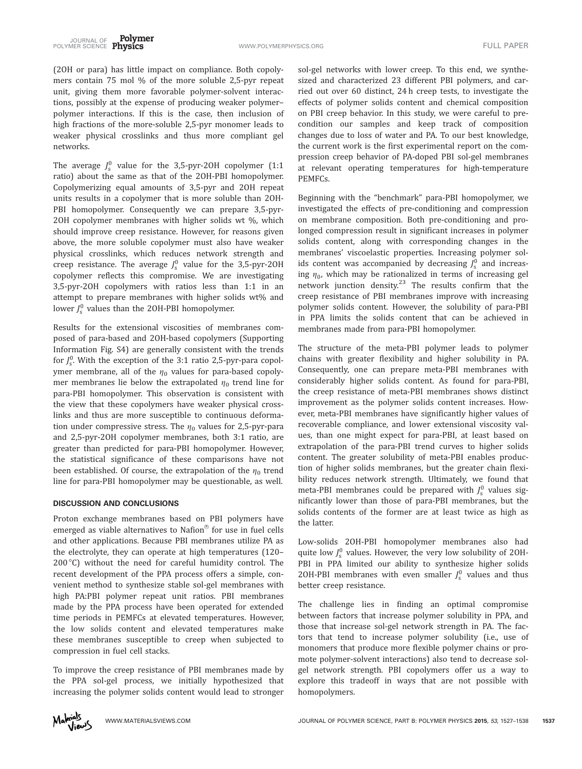(2OH or para) has little impact on compliance. Both copolymers contain 75 mol % of the more soluble 2,5-pyr repeat unit, giving them more favorable polymer-solvent interactions, possibly at the expense of producing weaker polymer– polymer interactions. If this is the case, then inclusion of high fractions of the more-soluble 2,5-pyr monomer leads to weaker physical crosslinks and thus more compliant gel networks.

The average  $J_s^0$  value for the 3,5-pyr-20H copolymer (1:1 ratio) about the same as that of the 2OH-PBI homopolymer. Copolymerizing equal amounts of 3,5-pyr and 2OH repeat units results in a copolymer that is more soluble than 2OH-PBI homopolymer. Consequently we can prepare 3,5-pyr-2OH copolymer membranes with higher solids wt %, which should improve creep resistance. However, for reasons given above, the more soluble copolymer must also have weaker physical crosslinks, which reduces network strength and creep resistance. The average  $J_s^0$  value for the 3,5-pyr-20H copolymer reflects this compromise. We are investigating 3,5-pyr-2OH copolymers with ratios less than 1:1 in an attempt to prepare membranes with higher solids wt% and lower  $J_{\rm s}^0$  values than the 20H-PBI homopolymer.

Results for the extensional viscosities of membranes composed of para-based and 2OH-based copolymers (Supporting Information Fig. S4) are generally consistent with the trends for  $J_s^0$ . With the exception of the 3:1 ratio 2,5-pyr-para copolymer membrane, all of the  $\eta_0$  values for para-based copolymer membranes lie below the extrapolated  $\eta_0$  trend line for para-PBI homopolymer. This observation is consistent with the view that these copolymers have weaker physical crosslinks and thus are more susceptible to continuous deformation under compressive stress. The  $\eta_0$  values for 2,5-pyr-para and 2,5-pyr-2OH copolymer membranes, both 3:1 ratio, are greater than predicted for para-PBI homopolymer. However, the statistical significance of these comparisons have not been established. Of course, the extrapolation of the  $\eta_0$  trend line for para-PBI homopolymer may be questionable, as well.

### DISCUSSION AND CONCLUSIONS

Proton exchange membranes based on PBI polymers have emerged as viable alternatives to Nafion $^\circledR$  for use in fuel cells and other applications. Because PBI membranes utilize PA as the electrolyte, they can operate at high temperatures (120– 200 $\degree$ C) without the need for careful humidity control. The recent development of the PPA process offers a simple, convenient method to synthesize stable sol-gel membranes with high PA:PBI polymer repeat unit ratios. PBI membranes made by the PPA process have been operated for extended time periods in PEMFCs at elevated temperatures. However, the low solids content and elevated temperatures make these membranes susceptible to creep when subjected to compression in fuel cell stacks.

To improve the creep resistance of PBI membranes made by the PPA sol-gel process, we initially hypothesized that increasing the polymer solids content would lead to stronger

sol-gel networks with lower creep. To this end, we synthesized and characterized 23 different PBI polymers, and carried out over 60 distinct, 24 h creep tests, to investigate the effects of polymer solids content and chemical composition on PBI creep behavior. In this study, we were careful to precondition our samples and keep track of composition changes due to loss of water and PA. To our best knowledge, the current work is the first experimental report on the compression creep behavior of PA-doped PBI sol-gel membranes at relevant operating temperatures for high-temperature PEMFCs.

Beginning with the "benchmark" para-PBI homopolymer, we investigated the effects of pre-conditioning and compression on membrane composition. Both pre-conditioning and prolonged compression result in significant increases in polymer solids content, along with corresponding changes in the membranes' viscoelastic properties. Increasing polymer solids content was accompanied by decreasing  $J_{\rm s}^0$  and increasing  $\eta_0$ , which may be rationalized in terms of increasing gel network junction density.<sup>23</sup> The results confirm that the creep resistance of PBI membranes improve with increasing polymer solids content. However, the solubility of para-PBI in PPA limits the solids content that can be achieved in membranes made from para-PBI homopolymer.

The structure of the meta-PBI polymer leads to polymer chains with greater flexibility and higher solubility in PA. Consequently, one can prepare meta-PBI membranes with considerably higher solids content. As found for para-PBI, the creep resistance of meta-PBI membranes shows distinct improvement as the polymer solids content increases. However, meta-PBI membranes have significantly higher values of recoverable compliance, and lower extensional viscosity values, than one might expect for para-PBI, at least based on extrapolation of the para-PBI trend curves to higher solids content. The greater solubility of meta-PBI enables production of higher solids membranes, but the greater chain flexibility reduces network strength. Ultimately, we found that meta-PBI membranes could be prepared with  $J_s^0$  values significantly lower than those of para-PBI membranes, but the solids contents of the former are at least twice as high as the latter.

Low-solids 2OH-PBI homopolymer membranes also had quite low  $J_s^0$  values. However, the very low solubility of 20H-PBI in PPA limited our ability to synthesize higher solids 20H-PBI membranes with even smaller  $J_s^0$  values and thus better creep resistance.

The challenge lies in finding an optimal compromise between factors that increase polymer solubility in PPA, and those that increase sol-gel network strength in PA. The factors that tend to increase polymer solubility (i.e., use of monomers that produce more flexible polymer chains or promote polymer-solvent interactions) also tend to decrease solgel network strength. PBI copolymers offer us a way to explore this tradeoff in ways that are not possible with homopolymers.